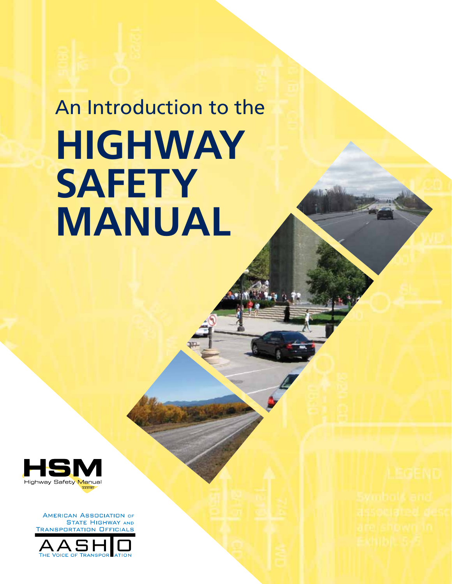# An Introduction to the **Highway Safety Manual**



**AMERICAN ASSOCIATION OF STATE HIGHWAY AND TRANSPORTATION OFFICIALS** 

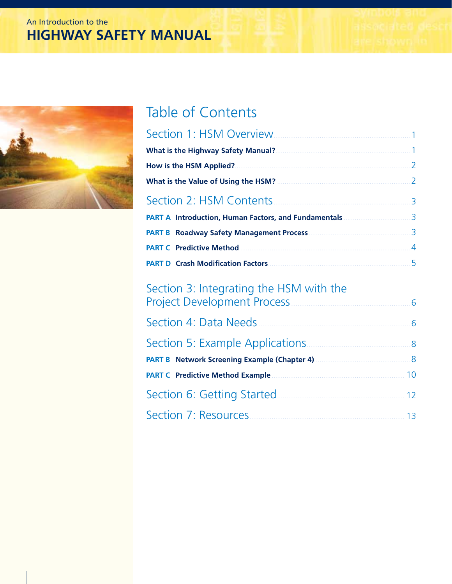# An Introduction to the **HIGHWAY SAFETY MANUAL**



# Table of Contents

| Section 1: HSM Overview.                  |                |
|-------------------------------------------|----------------|
| <b>What is the Highway Safety Manual?</b> |                |
|                                           | $\mathcal{L}$  |
| What is the Value of Using the HSM?       | $\mathcal{L}$  |
| Section 2: HSM Contents                   | 3              |
|                                           | $\mathbf{R}$   |
|                                           | $\mathbf{R}$   |
| <b>PART C</b> Predictive Method           | $\overline{4}$ |
| <b>PART D</b> Crash Modification Factors  | 5              |

# Section 3: Integrating the HSM with the [Project Development Process.................................................................6](#page-7-0)

| Section 4: Data Needs                               | 6            |
|-----------------------------------------------------|--------------|
| Section 5: Example Applications.                    | $\mathsf{R}$ |
| <b>PART B</b> Network Screening Example (Chapter 4) | 8            |
| <b>PART C</b> Predictive Method Example             | 10           |
| Section 6: Getting Started                          | 12           |
| Section 7: Resources                                | 13           |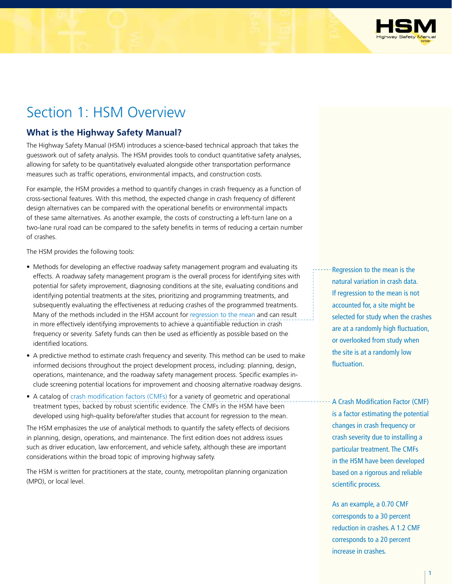

# <span id="page-2-0"></span>Section 1: HSM Overview

### **What is the Highway Safety Manual?**

The Highway Safety Manual (HSM) introduces a science-based technical approach that takes the guesswork out of safety analysis. The HSM provides tools to conduct quantitative safety analyses, allowing for safety to be quantitatively evaluated alongside other transportation performance measures such as traffic operations, environmental impacts, and construction costs.

For example, the HSM provides a method to quantify changes in crash frequency as a function of cross-sectional features. With this method, the expected change in crash frequency of different design alternatives can be compared with the operational benefits or environmental impacts of these same alternatives. As another example, the costs of constructing a left-turn lane on a two-lane rural road can be compared to the safety benefits in terms of reducing a certain number of crashes.

The HSM provides the following tools:

- Methods for developing an effective roadway safety management program and evaluating its effects. A roadway safety management program is the overall process for identifying sites with potential for safety improvement, diagnosing conditions at the site, evaluating conditions and identifying potential treatments at the sites, prioritizing and programming treatments, and subsequently evaluating the effectiveness at reducing crashes of the programmed treatments. Many of the methods included in the HSM account for regression to the mean and can result in more effectively identifying improvements to achieve a quantifiable reduction in crash frequency or severity. Safety funds can then be used as efficiently as possible based on the identified locations.
- A predictive method to estimate crash frequency and severity. This method can be used to make informed decisions throughout the project development process, including: planning, design, operations, maintenance, and the roadway safety management process. Specific examples include screening potential locations for improvement and choosing alternative roadway designs.
- A catalog of crash modification factors (CMFs) for a variety of geometric and operational treatment types, backed by robust scientific evidence. The CMFs in the HSM have been developed using high-quality before/after studies that account for regression to the mean.

The HSM emphasizes the use of analytical methods to quantify the safety effects of decisions in planning, design, operations, and maintenance. The first edition does not address issues such as driver education, law enforcement, and vehicle safety, although these are important considerations within the broad topic of improving highway safety.

The HSM is written for practitioners at the state, county, metropolitan planning organization (MPO), or local level.

Regression to the mean is the natural variation in crash data. If regression to the mean is not accounted for, a site might be selected for study when the crashes are at a randomly high fluctuation, or overlooked from study when the site is at a randomly low fluctuation.

A Crash Modification Factor (CMF) is a factor estimating the potential changes in crash frequency or crash severity due to installing a particular treatment. The CMFs in the HSM have been developed based on a rigorous and reliable scientific process.

As an example, a 0.70 CMF corresponds to a 30 percent reduction in crashes. A 1.2 CMF corresponds to a 20 percent increase in crashes.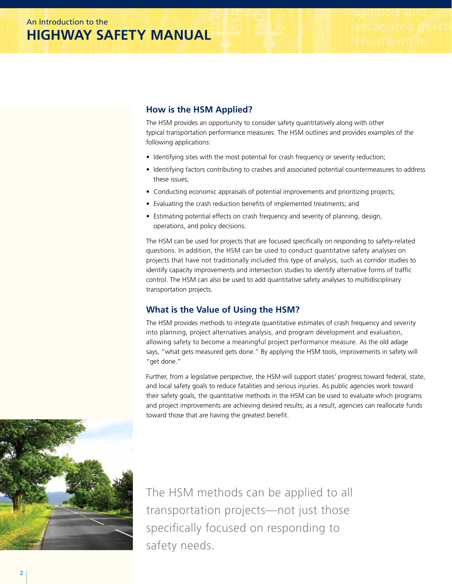## <span id="page-3-0"></span>**How is the HSM Applied?**

The HSM provides an opportunity to consider safety quantitatively along with other typical transportation performance measures. The HSM outlines and provides examples of the following applications:

- Identifying sites with the most potential for crash frequency or severity reduction;
- Identifying factors contributing to crashes and associated potential countermeasures to address these issues;
- Conducting economic appraisals of potential improvements and prioritizing projects;
- Evaluating the crash reduction benefits of implemented treatments; and
- Estimating potential effects on crash frequency and severity of planning, design, operations, and policy decisions.

The HSM can be used for projects that are focused specifically on responding to safety-related questions. In addition, the HSM can be used to conduct quantitative safety analyses on projects that have not traditionally included this type of analysis, such as corridor studies to identify capacity improvements and intersection studies to identify alternative forms of traffic control. The HSM can also be used to add quantitative safety analyses to multidisciplinary transportation projects.

### **What is the Value of Using the HSM?**

The HSM provides methods to integrate quantitative estimates of crash frequency and severity into planning, project alternatives analysis, and program development and evaluation, allowing safety to become a meaningful project performance measure. As the old adage says, "what gets measured gets done." By applying the HSM tools, improvements in safety will "get done."

Further, from a legislative perspective, the HSM will support states' progress toward federal, state, and local safety goals to reduce fatalities and serious injuries. As public agencies work toward their safety goals, the quantitative methods in the HSM can be used to evaluate which programs and project improvements are achieving desired results; as a result, agencies can reallocate funds toward those that are having the greatest benefit.



The HSM methods can be applied to all transportation projects—not just those specifically focused on responding to safety needs.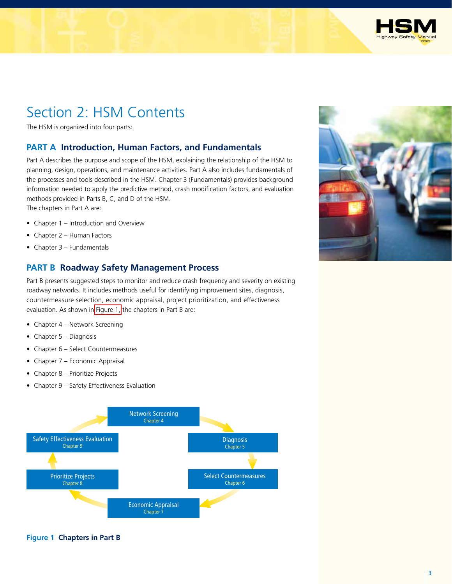

# <span id="page-4-0"></span>Section 2: HSM Contents

The HSM is organized into four parts:

#### **PART A Introduction, Human Factors, and Fundamentals**

Part A describes the purpose and scope of the HSM, explaining the relationship of the HSM to planning, design, operations, and maintenance activities. Part A also includes fundamentals of the processes and tools described in the HSM. Chapter 3 (Fundamentals) provides background information needed to apply the predictive method, crash modification factors, and evaluation methods provided in Parts B, C, and D of the HSM.

The chapters in Part A are:

- Chapter 1 Introduction and Overview
- Chapter 2 Human Factors
- Chapter 3 Fundamentals

#### **PART B Roadway Safety Management Process**

Part B presents suggested steps to monitor and reduce crash frequency and severity on existing roadway networks. It includes methods useful for identifying improvement sites, diagnosis, countermeasure selection, economic appraisal, project prioritization, and effectiveness evaluation. As shown in Figure 1, the chapters in Part B are:

- Chapter 4 Network Screening
- Chapter 5 Diagnosis
- Chapter 6 Select Countermeasures
- Chapter 7 Economic Appraisal
- Chapter 8 Prioritize Projects
- Chapter 9 Safety Effectiveness Evaluation



#### **Figure 1 Chapters in Part B**

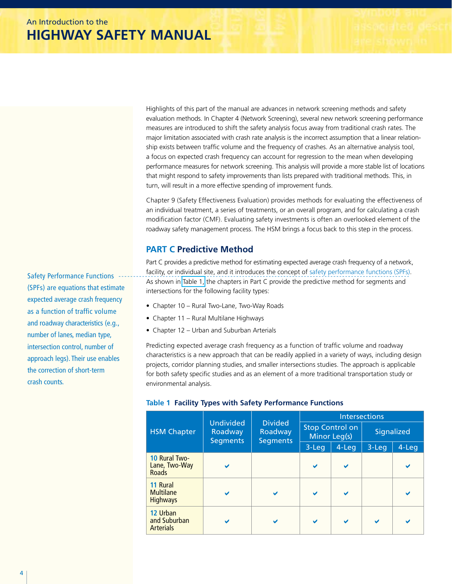<span id="page-5-0"></span>Highlights of this part of the manual are advances in network screening methods and safety evaluation methods. In Chapter 4 (Network Screening), several new network screening performance measures are introduced to shift the safety analysis focus away from traditional crash rates. The major limitation associated with crash rate analysis is the incorrect assumption that a linear relationship exists between traffic volume and the frequency of crashes. As an alternative analysis tool, a focus on expected crash frequency can account for regression to the mean when developing performance measures for network screening. This analysis will provide a more stable list of locations that might respond to safety improvements than lists prepared with traditional methods. This, in turn, will result in a more effective spending of improvement funds.

Chapter 9 (Safety Effectiveness Evaluation) provides methods for evaluating the effectiveness of an individual treatment, a series of treatments, or an overall program, and for calculating a crash modification factor (CMF). Evaluating safety investments is often an overlooked element of the roadway safety management process. The HSM brings a focus back to this step in the process.

### **PART C Predictive Method**

Part C provides a predictive method for estimating expected average crash frequency of a network, facility, or individual site, and it introduces the concept of safety performance functions (SPFs). As shown in Table 1, the chapters in Part C provide the predictive method for segments and intersections for the following facility types:

- Chapter 10 Rural Two-Lane, Two-Way Roads
- Chapter 11 Rural Multilane Highways
- Chapter 12 Urban and Suburban Arterials

Predicting expected average crash frequency as a function of traffic volume and roadway characteristics is a new approach that can be readily applied in a variety of ways, including design projects, corridor planning studies, and smaller intersections studies. The approach is applicable for both safety specific studies and as an element of a more traditional transportation study or environmental analysis.

|                                                       |                                                |                                              | <b>Intersections</b> |                                        |            |           |  |  |
|-------------------------------------------------------|------------------------------------------------|----------------------------------------------|----------------------|----------------------------------------|------------|-----------|--|--|
| <b>HSM Chapter</b>                                    | <b>Undivided</b><br>Roadway<br><b>Segments</b> | <b>Divided</b><br>Roadway<br><b>Segments</b> |                      | <b>Stop Control on</b><br>Minor Leg(s) | Signalized |           |  |  |
|                                                       |                                                |                                              | 3-Leg                | $4$ -Leg                               | $3 - Leg$  | $4 - Leg$ |  |  |
| <b>10 Rural Two-</b><br>Lane, Two-Way<br><b>Roads</b> |                                                |                                              |                      |                                        |            |           |  |  |
| 11 Rural<br><b>Multilane</b><br><b>Highways</b>       |                                                | $\checkmark$                                 |                      |                                        |            |           |  |  |
| 12 Urban<br>and Suburban<br><b>Arterials</b>          |                                                | V                                            |                      |                                        | V          |           |  |  |

#### **Table 1 Facility Types with Safety Performance Functions**

Safety Performance Functions (SPFs) are equations that estimate expected average crash frequency as a function of traffic volume and roadway characteristics (e.g., number of lanes, median type, intersection control, number of approach legs). Their use enables the correction of short-term crash counts.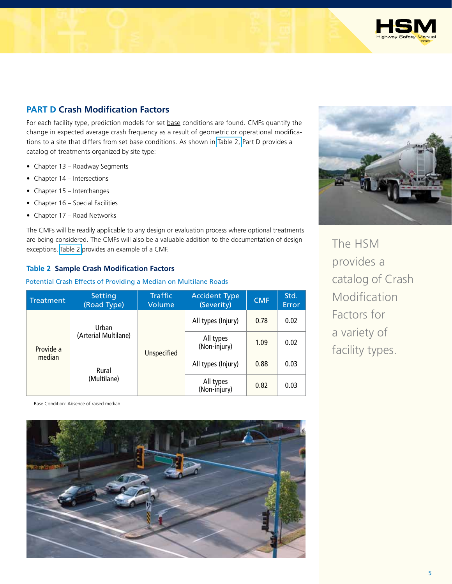

# <span id="page-6-0"></span>**PART D Crash Modification Factors**

For each facility type, prediction models for set base conditions are found. CMFs quantify the change in expected average crash frequency as a result of geometric or operational modifications to a site that differs from set base conditions. As shown in Table 2, Part D provides a catalog of treatments organized by site type:

- Chapter 13 Roadway Segments
- Chapter 14 Intersections
- Chapter 15 Interchanges
- Chapter 16 Special Facilities
- Chapter 17 Road Networks

The CMFs will be readily applicable to any design or evaluation process where optional treatments are being considered. The CMFs will also be a valuable addition to the documentation of design exceptions. Table 2 provides an example of a CMF.

#### **Table 2 Sample Crash Modification Factors**

#### Potential Crash Effects of Providing a Median on Multilane Roads

| Treatment           | Setting<br>(Road Type) | <b>Traffic</b><br>Volume | <b>Accident Type</b><br>(Severity) | <b>CMF</b> | Std.<br>Error |
|---------------------|------------------------|--------------------------|------------------------------------|------------|---------------|
| Provide a<br>median | Urban                  |                          | All types (Injury)                 | 0.78       | 0.02          |
|                     | (Arterial Multilane)   |                          | All types<br>(Non-injury)          | 1.09       | 0.02          |
|                     | Rural                  | <b>Unspecified</b>       | All types (Injury)                 | 0.88       | 0.03          |
|                     | (Multilane)            |                          | All types<br>(Non-injury)          | 0.82       | 0.03          |

The HSM provides a catalog of Crash Modification Factors for a variety of facility types.

Base Condition: Absence of raised median

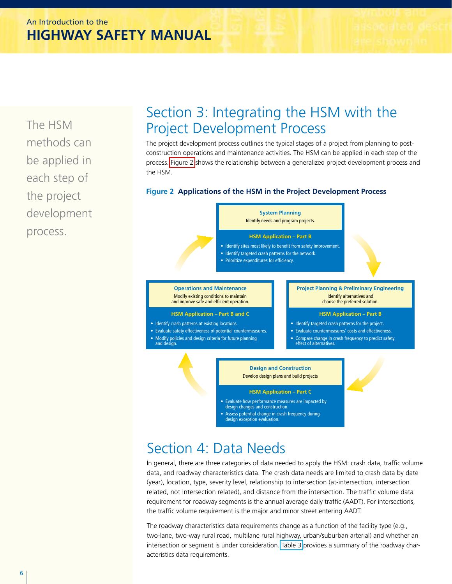<span id="page-7-0"></span>The HSM methods can be applied in each step of the project development process.

# Section 3: Integrating the HSM with the Project Development Process

The project development process outlines the typical stages of a project from planning to postconstruction operations and maintenance activities. The HSM can be applied in each step of the process. Figure 2 shows the relationship between a generalized project development process and the HSM.

#### **Figure 2 Applications of the HSM in the Project Development Process**



# Section 4: Data Needs

In general, there are three categories of data needed to apply the HSM: crash data, traffic volume data, and roadway characteristics data. The crash data needs are limited to crash data by date (year), location, type, severity level, relationship to intersection (at-intersection, intersection related, not intersection related), and distance from the intersection. The traffic volume data requirement for roadway segments is the annual average daily traffic (AADT). For intersections, the traffic volume requirement is the major and minor street entering AADT.

The roadway characteristics data requirements change as a function of the facility type (e.g., two-lane, two-way rural road, multilane rural highway, urban/suburban arterial) and whether an intersection or segment is under consideration. [Table 3](#page-8-0) provides a summary of the roadway characteristics data requirements.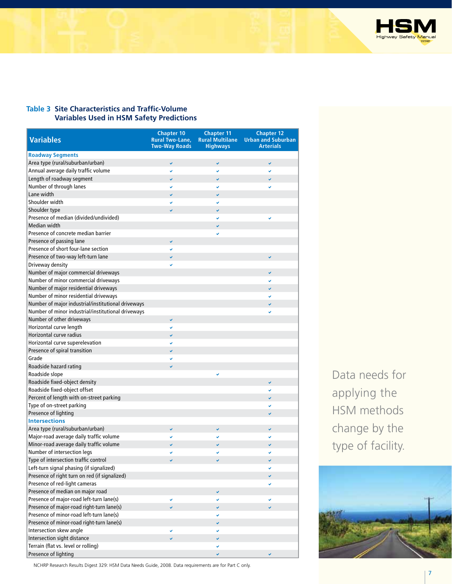

#### <span id="page-8-0"></span>**Table 3 Site Characteristics and Traffic-Volume Variables Used in HSM Safety Predictions**

| <b>Variables</b>                                   | <b>Chapter 10</b><br><b>Rural Two-Lane,</b><br><b>Two-Way Roads</b> | <b>Chapter 11</b><br><b>Rural Multilane</b><br><b>Highways</b> | <b>Chapter 12</b><br><b>Urban and Suburban</b><br>Arterials |
|----------------------------------------------------|---------------------------------------------------------------------|----------------------------------------------------------------|-------------------------------------------------------------|
| <b>Roadway Segments</b>                            |                                                                     |                                                                |                                                             |
| Area type (rural/suburban/urban)                   | V                                                                   | v                                                              | V                                                           |
| Annual average daily traffic volume                | Ų                                                                   | U                                                              | V                                                           |
| Length of roadway segment                          | U                                                                   | v                                                              | V                                                           |
| Number of through lanes                            | V                                                                   | V                                                              | V                                                           |
| Lane width                                         | u                                                                   | U                                                              |                                                             |
| Shoulder width                                     | V                                                                   | v                                                              |                                                             |
| Shoulder type                                      | V                                                                   | v                                                              |                                                             |
| Presence of median (divided/undivided)             |                                                                     | v                                                              | V                                                           |
| Median width                                       |                                                                     | V                                                              |                                                             |
| Presence of concrete median barrier                |                                                                     |                                                                |                                                             |
| Presence of passing lane                           | V                                                                   |                                                                |                                                             |
| Presence of short four-lane section                | V                                                                   |                                                                |                                                             |
| Presence of two-way left-turn lane                 | U                                                                   |                                                                | V                                                           |
| Driveway density                                   |                                                                     |                                                                |                                                             |
| Number of major commercial driveways               |                                                                     |                                                                | V                                                           |
| Number of minor commercial driveways               |                                                                     |                                                                | v                                                           |
| Number of major residential driveways              |                                                                     |                                                                | U                                                           |
| Number of minor residential driveways              |                                                                     |                                                                | v                                                           |
| Number of major industrial/institutional driveways |                                                                     |                                                                | V                                                           |
| Number of minor industrial/institutional driveways |                                                                     |                                                                | v                                                           |
| Number of other driveways                          | V                                                                   |                                                                |                                                             |
| Horizontal curve length                            | V                                                                   |                                                                |                                                             |
| Horizontal curve radius                            |                                                                     |                                                                |                                                             |
| Horizontal curve superelevation                    | Ų                                                                   |                                                                |                                                             |
|                                                    | V                                                                   |                                                                |                                                             |
| Presence of spiral transition<br>Grade             | V                                                                   |                                                                |                                                             |
|                                                    | V                                                                   |                                                                |                                                             |
| Roadside hazard rating                             | Ų                                                                   |                                                                |                                                             |
| Roadside slope                                     |                                                                     | U                                                              |                                                             |
| Roadside fixed-object density                      |                                                                     |                                                                | V                                                           |
| Roadside fixed-object offset                       |                                                                     |                                                                | U                                                           |
| Percent of length with on-street parking           |                                                                     |                                                                |                                                             |
| Type of on-street parking                          |                                                                     |                                                                | V                                                           |
| Presence of lighting                               |                                                                     |                                                                | V                                                           |
| <b>Intersections</b>                               |                                                                     |                                                                |                                                             |
| Area type (rural/suburban/urban)                   | V                                                                   | V                                                              | v                                                           |
| Major-road average daily traffic volume            |                                                                     |                                                                |                                                             |
| Minor-road average daily traffic volume            | U                                                                   | V                                                              |                                                             |
| Number of intersection legs                        | V                                                                   |                                                                | ✓                                                           |
| Type of intersection traffic control               |                                                                     |                                                                |                                                             |
| Left-turn signal phasing (if signalized)           |                                                                     |                                                                |                                                             |
| Presence of right turn on red (if signalized)      |                                                                     |                                                                | V                                                           |
| Presence of red-light cameras                      |                                                                     |                                                                | v                                                           |
| Presence of median on major road                   |                                                                     | v                                                              |                                                             |
| Presence of major-road left-turn lane(s)           | v                                                                   | v                                                              | v                                                           |
| Presence of major-road right-turn lane(s)          | Ō.                                                                  | $\checkmark$                                                   | $\checkmark$                                                |
| Presence of minor-road left-turn lane(s)           |                                                                     | v                                                              |                                                             |
| Presence of minor-road right-turn lane(s)          |                                                                     | v                                                              |                                                             |
| Intersection skew angle                            | ✓                                                                   | v                                                              |                                                             |
| Intersection sight distance                        | v.                                                                  | V                                                              |                                                             |
| Terrain (flat vs. level or rolling)                |                                                                     | v                                                              |                                                             |
| Presence of lighting                               |                                                                     | v                                                              | v                                                           |

Data needs for applying the HSM methods change by the type of facility.



NCHRP Research Results Digest 329: HSM Data Needs Guide, 2008. Data requirements are for Part C only.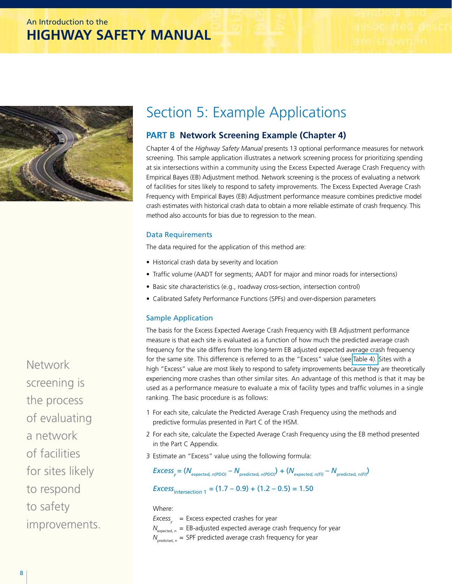# <span id="page-9-0"></span>An Introduction to the **HIGHWAY SAFETY MANUAL**



# Section 5: Example Applications

### **PART B Network Screening Example (Chapter 4)**

Chapter 4 of the *Highway Safety Manual* presents 13 optional performance measures for network screening. This sample application illustrates a network screening process for prioritizing spending at six intersections within a community using the Excess Expected Average Crash Frequency with Empirical Bayes (EB) Adjustment method. Network screening is the process of evaluating a network of facilities for sites likely to respond to safety improvements. The Excess Expected Average Crash Frequency with Empirical Bayes (EB) Adjustment performance measure combines predictive model crash estimates with historical crash data to obtain a more reliable estimate of crash frequency. This method also accounts for bias due to regression to the mean.

#### Data Requirements

The data required for the application of this method are:

- Historical crash data by severity and location
- Traffic volume (AADT for segments; AADT for major and minor roads for intersections)
- Basic site characteristics (e.g., roadway cross-section, intersection control)
- Calibrated Safety Performance Functions (SPFs) and over-dispersion parameters

#### Sample Application

The basis for the Excess Expected Average Crash Frequency with EB Adjustment performance measure is that each site is evaluated as a function of how much the predicted average crash frequency for the site differs from the long-term EB adjusted expected average crash frequency for the same site. This difference is referred to as the "Excess" value (see [Table 4\).](#page-10-0) Sites with a high "Excess" value are most likely to respond to safety improvements because they are theoretically experiencing more crashes than other similar sites. An advantage of this method is that it may be used as a performance measure to evaluate a mix of facility types and traffic volumes in a single ranking. The basic procedure is as follows:

- 1 For each site, calculate the Predicted Average Crash Frequency using the methods and predictive formulas presented in Part C of the HSM.
- 2 For each site, calculate the Expected Average Crash Frequency using the EB method presented in the Part C Appendix.
- 3 Estimate an "Excess" value using the following formula:

 $EXcess_v = (N_{expected, n(PDO)} - N_{predicted, n(PDO)}) + (N_{expected, n(FI)} - N_{predicted, n(FI)})$ 

*Excess*<sub>intersection 1</sub> =  $(1.7 - 0.9) + (1.2 - 0.5) = 1.50$ 

Where:

*Excess<sub>y</sub>* = Excess expected crashes for year  $N_{\text{expected }n}$  = EB-adjusted expected average crash frequency for year  $N_{\text{predicted } p}$  = SPF predicted average crash frequency for year

Network screening is the process of evaluating a network of facilities for sites likely to respond to safety

improvements.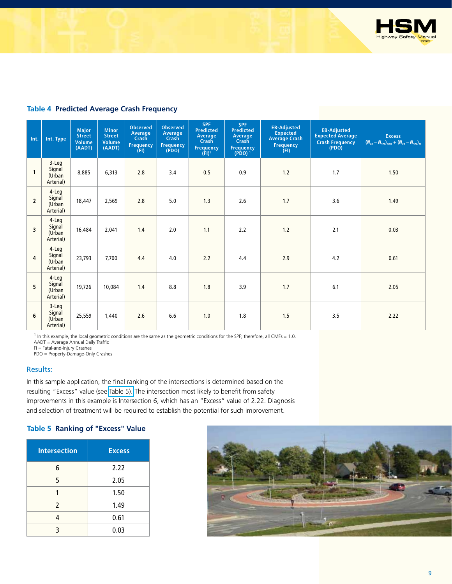

#### <span id="page-10-0"></span>**Table 4 Predicted Average Crash Frequency**

| Int.           | Int. Type                                  | <b>Major</b><br><b>Street</b><br>Volume<br>(AADT) | <b>Minor</b><br><b>Street</b><br><b>Volume</b><br>(AADT) | <b>Observed</b><br>Average<br><b>Crash</b><br><b>Frequency</b><br>(FI) | <b>Observed</b><br>Average<br>Crash<br><b>Frequency</b><br>( PDO) | <b>SPF</b><br><b>Predicted</b><br>Average<br>Crash<br><b>Frequency</b><br>$(FI)^1$ | <b>SPF</b><br><b>Predicted</b><br>Average<br><b>Crash</b><br><b>Frequency</b><br>$(PDO)^{-1}$ | <b>EB-Adjusted</b><br><b>Expected</b><br><b>Average Crash</b><br>Frequency<br>(FI) | <b>EB-Adjusted</b><br><b>Expected Average</b><br><b>Crash Frequency</b><br>( PDO) | <b>Excess</b><br>$(N_{_{EB}} - N_{_{SPF}})_{_{PDO}} + (N_{_{EB}} - N_{_{SPF}})_{_{FI}}$ |
|----------------|--------------------------------------------|---------------------------------------------------|----------------------------------------------------------|------------------------------------------------------------------------|-------------------------------------------------------------------|------------------------------------------------------------------------------------|-----------------------------------------------------------------------------------------------|------------------------------------------------------------------------------------|-----------------------------------------------------------------------------------|-----------------------------------------------------------------------------------------|
| 1              | $3 - Leg$<br>Signal<br>(Urban<br>Arterial) | 8,885                                             | 6,313                                                    | 2.8                                                                    | 3.4                                                               | 0.5                                                                                | 0.9                                                                                           | 1.2                                                                                | 1.7                                                                               | 1.50                                                                                    |
| $\overline{2}$ | 4-Leg<br>Signal<br>(Urban<br>Arterial)     | 18,447                                            | 2,569                                                    | 2.8                                                                    | 5.0                                                               | 1.3                                                                                | 2.6                                                                                           | 1.7                                                                                | 3.6                                                                               | 1.49                                                                                    |
| 3              | 4-Leg<br>Signal<br>(Urban<br>Arterial)     | 16,484                                            | 2,041                                                    | 1.4                                                                    | 2.0                                                               | 1.1                                                                                | 2.2                                                                                           | 1.2                                                                                | 2.1                                                                               | 0.03                                                                                    |
| $\overline{4}$ | 4-Leg<br>Signal<br>(Urban<br>Arterial)     | 23,793                                            | 7,700                                                    | 4.4                                                                    | 4.0                                                               | 2.2                                                                                | 4.4                                                                                           | 2.9                                                                                | 4.2                                                                               | 0.61                                                                                    |
| 5              | 4-Leg<br>Signal<br>(Urban<br>Arterial)     | 19,726                                            | 10,084                                                   | 1.4                                                                    | 8.8                                                               | 1.8                                                                                | 3.9                                                                                           | 1.7                                                                                | 6.1                                                                               | 2.05                                                                                    |
| 6              | $3 - Leg$<br>Signal<br>(Urban<br>Arterial) | 25,559                                            | 1,440                                                    | 2.6                                                                    | 6.6                                                               | 1.0                                                                                | 1.8                                                                                           | 1.5                                                                                | 3.5                                                                               | 2.22                                                                                    |

 $1$  In this example, the local geometric conditions are the same as the geometric conditions for the SPF; therefore, all CMFs = 1.0. AADT = Average Annual Daily Traffic

FI = Fatal-and-Injury Crashes

PDO = Property-Damage-Only Crashes

#### Results:

In this sample application, the final ranking of the intersections is determined based on the resulting "Excess" value (see Table 5). The intersection most likely to benefit from safety improvements in this example is Intersection 6, which has an "Excess" value of 2.22. Diagnosis and selection of treatment will be required to establish the potential for such improvement.

#### **Table 5 Ranking of "Excess" Value**

| Intersection | <b>Excess</b> |
|--------------|---------------|
| 6            | 2.22          |
| 5            | 2.05          |
|              | 1.50          |
| 2            | 1.49          |
|              | 0.61          |
| ς            | 0.03          |

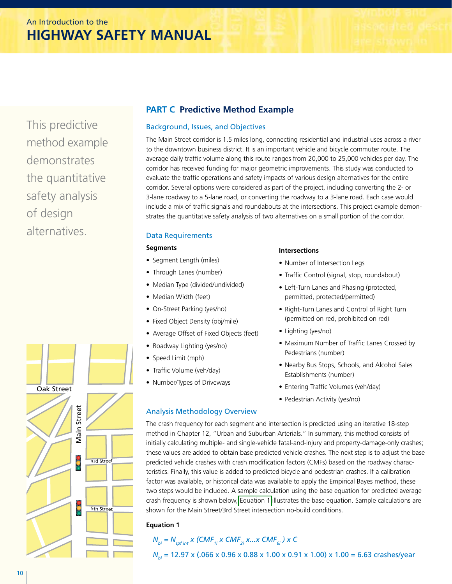This predictive method example demonstrates the quantitative safety analysis of design alternatives.

### **PART C Predictive Method Example**

#### Background, Issues, and Objectives

The Main Street corridor is 1.5 miles long, connecting residential and industrial uses across a river to the downtown business district. It is an important vehicle and bicycle commuter route. The average daily traffic volume along this route ranges from 20,000 to 25,000 vehicles per day. The corridor has received funding for major geometric improvements. This study was conducted to evaluate the traffic operations and safety impacts of various design alternatives for the entire corridor. Several options were considered as part of the project, including converting the 2- or 3-lane roadway to a 5-lane road, or converting the roadway to a 3-lane road. Each case would include a mix of traffic signals and roundabouts at the intersections. This project example demonstrates the quantitative safety analysis of two alternatives on a small portion of the corridor.

#### Data Requirements

#### **Segments**

- Segment Length (miles)
- Through Lanes (number)
- Median Type (divided/undivided)
- Median Width (feet)
- On-Street Parking (yes/no)
- Fixed Object Density (obj/mile)
- Average Offset of Fixed Objects (feet)
- Roadway Lighting (yes/no)
- Speed Limit (mph)
- Traffic Volume (veh/day)
- Number/Types of Driveways

#### Analysis Methodology Overview

#### **Intersections**

- Number of Intersection Legs
- Traffic Control (signal, stop, roundabout)
- Left-Turn Lanes and Phasing (protected, permitted, protected/permitted)
- Right-Turn Lanes and Control of Right Turn (permitted on red, prohibited on red)
- Lighting (yes/no)
- Maximum Number of Traffic Lanes Crossed by Pedestrians (number)
- Nearby Bus Stops, Schools, and Alcohol Sales Establishments (number)
- Entering Traffic Volumes (veh/day)
- Pedestrian Activity (yes/no)

The crash frequency for each segment and intersection is predicted using an iterative 18-step method in Chapter 12, "Urban and Suburban Arterials." In summary, this method consists of initially calculating multiple- and single-vehicle fatal-and-injury and property-damage-only crashes; these values are added to obtain base predicted vehicle crashes. The next step is to adjust the base predicted vehicle crashes with crash modification factors (CMFs) based on the roadway characteristics. Finally, this value is added to predicted bicycle and pedestrian crashes. If a calibration factor was available, or historical data was available to apply the Empirical Bayes method, these two steps would be included. A sample calculation using the base equation for predicted average crash frequency is shown below, Equation 1 illustrates the base equation. Sample calculations are shown for the Main Street/3rd Street intersection no-build conditions.

#### **Equation 1**

# $N_{bi} = N_{softint} x$  *(CMF<sub>1i</sub> x CMF<sub>2i</sub> x...x CMF<sub>6i</sub> ) x C*

*N<sub>bi</sub>* = 12.97 x (.066 x 0.96 x 0.88 x 1.00 x 0.91 x 1.00) x 1.00 = 6.63 crashes/year

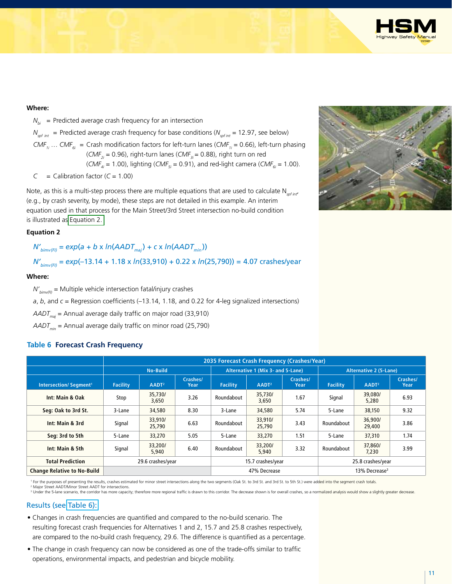

#### **Where:**

 $N_{bi}$  = Predicted average crash frequency for an intersection

 $N_{\text{soft}}$  = Predicted average crash frequency for base conditions ( $N_{\text{soft}}$  = 12.97, see below) *CMF<sub>1i</sub>* ... *CMF<sub>6i</sub>* = Crash modification factors for left-turn lanes (*CMF<sub>1i</sub>* = 0.66), left-turn phasing (*CMF<sub>2i</sub>* = 0.96), right-turn lanes (*CMF<sub>3i</sub>* = 0.88), right turn on red

 $(CMF_{4i} = 1.00)$ , lighting  $(CMF_{5i} = 0.91)$ , and red-light camera  $(CMF_{6i} = 1.00)$ .

$$
C
$$
 = California factor ( $C$  = 1.00)

Note, as this is a multi-step process there are multiple equations that are used to calculate N<sub>spf int</sub>, (e.g., by crash severity, by mode), these steps are not detailed in this example. An interim equation used in that process for the Main Street/3rd Street intersection no-build condition is illustrated as Equation 2.

#### **Equation 2**

 $N'_{bimv(F)} = exp(a + b \times ln(AADT_{mi}) + c \times ln(AADT_{mi})$ 

 *N'bimv(FI) = exp*(–13.14 + 1.18 x *ln*(33,910) + 0.22 x *ln*(25,790)) = 4.07 crashes/year

#### **Where:**

 $N'_{bimv(F)}$  = Multiple vehicle intersection fatal/injury crashes

*a*, *b*, and *c* = Regression coefficients (–13.14, 1.18, and 0.22 for 4-leg signalized intersections)

*AADTmaj* = Annual average daily traffic on major road (33,910)

*AADT<sub>min</sub>* = Annual average daily traffic on minor road (25,790)

#### **Table 6 Forecast Crash Frequency**

|                                         |                                                          | 2035 Forecast Crash Frequency (Crashes/Year) |      |                   |                                   |                  |                               |                   |                  |
|-----------------------------------------|----------------------------------------------------------|----------------------------------------------|------|-------------------|-----------------------------------|------------------|-------------------------------|-------------------|------------------|
|                                         |                                                          | <b>No-Build</b>                              |      |                   | Alternative 1 (Mix 3- and 5-Lane) |                  | <b>Alternative 2 (5-Lane)</b> |                   |                  |
| <b>Intersection/Segment<sup>1</sup></b> | Crashes/<br><b>Facility</b><br>AADT <sup>2</sup><br>Year |                                              |      | <b>Facility</b>   | AADT <sup>2</sup>                 | Crashes/<br>Year | <b>Facility</b>               | AADT <sup>2</sup> | Crashes/<br>Year |
| Int: Main & Oak                         | Stop                                                     | 35,730/<br>3,650                             | 3.26 | Roundabout        | 35,730/<br>3,650                  | 1.67             | Signal                        | 39,080/<br>5,280  | 6.93             |
| Seq: Oak to 3rd St.                     | 3-Lane                                                   | 34,580                                       | 8.30 | 3-Lane            | 34,580                            | 5.74             | 5-Lane                        | 38,150            | 9.32             |
| Int: Main & 3rd                         | Signal                                                   | 33,910/<br>25,790                            | 6.63 | Roundabout        | 33,910/<br>25,790                 | 3.43             | Roundabout                    | 36,900/<br>29,400 | 3.86             |
| Seg: 3rd to 5th                         | 5-Lane                                                   | 33,270                                       | 5.05 | 5-Lane            | 33,270                            | 1.51             | 5-Lane                        | 37,310            | 1.74             |
| Int: Main & 5th                         | Signal                                                   | 33,200/<br>5.940                             | 6.40 | Roundabout        | 33,200/<br>5,940                  | 3.32             | Roundabout                    | 37,860/<br>7.230  | 3.99             |
| <b>Total Prediction</b>                 | 29.6 crashes/year                                        |                                              |      | 15.7 crashes/year |                                   |                  | 25.8 crashes/year             |                   |                  |
| <b>Change Relative to No-Build</b>      |                                                          |                                              |      | 47% Decrease      |                                   |                  | 13% Decrease <sup>3</sup>     |                   |                  |

<sup>1</sup> For the purposes of presenting the results, crashes estimated for minor street intersections along the two segments (Oak St. to 3rd St. and 3rd St. to 5th St.) were added into the segment crash totals.

2 Major Street AADT/Minor Street AADT for intersections. <sup>3</sup> Under the 5-lane scenario, the corridor has more capacity; therefore more regional traffic is drawn to this corridor. The decrease shown is for overall crashes, so a normalized analysis would show a slightly greater de

#### Results (see Table 6):

- Changes in crash frequencies are quantified and compared to the no-build scenario. The resulting forecast crash frequencies for Alternatives 1 and 2, 15.7 and 25.8 crashes respectively, are compared to the no-build crash frequency, 29.6. The difference is quantified as a percentage.
- The change in crash frequency can now be considered as one of the trade-offs similar to traffic operations, environmental impacts, and pedestrian and bicycle mobility.

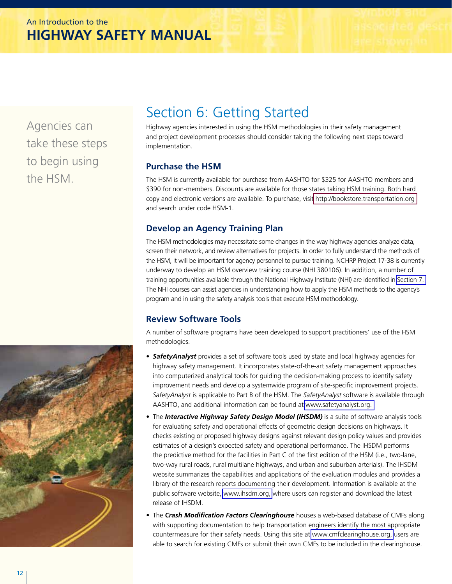<span id="page-13-0"></span>Agencies can take these steps to begin using the HSM.

# Section 6: Getting Started

Highway agencies interested in using the HSM methodologies in their safety management and project development processes should consider taking the following next steps toward implementation.

## **Purchase the HSM**

The HSM is currently available for purchase from AASHTO for \$325 for AASHTO members and \$390 for non-members. Discounts are available for those states taking HSM training. Both hard copy and electronic versions are available. To purchase, visi[t http://bookstore.transportation.org](https://bookstore.transportation.org/search.aspx?Text=hsm-)  and search under code HSM-1.

### **Develop an Agency Training Plan**

The HSM methodologies may necessitate some changes in the way highway agencies analyze data, screen their network, and review alternatives for projects. In order to fully understand the methods of the HSM, it will be important for agency personnel to pursue training. NCHRP Project 17-38 is currently underway to develop an HSM overview training course (NHI 380106). In addition, a number of training opportunities available through the National Highway Institute (NHI) are identified in [Section 7.](#page-14-0)  The NHI courses can assist agencies in understanding how to apply the HSM methods to the agency's program and in using the safety analysis tools that execute HSM methodology.

# **Review Software Tools**

A number of software programs have been developed to support practitioners' use of the HSM methodologies.

- • *SafetyAnalyst* provides a set of software tools used by state and local highway agencies for highway safety management. It incorporates state-of-the-art safety management approaches into computerized analytical tools for guiding the decision-making process to identify safety improvement needs and develop a systemwide program of site-specific improvement projects. *SafetyAnalyst* is applicable to Part B of the HSM. The *SafetyAnalyst* software is available through AASHTO, and additional information can be found at [www.safetyanalyst.org.](http://www.safetyanalyst.org)
- The *Interactive Highway Safety Design Model (IHSDM)* is a suite of software analysis tools for evaluating safety and operational effects of geometric design decisions on highways. It checks existing or proposed highway designs against relevant design policy values and provides estimates of a design's expected safety and operational performance. The IHSDM performs the predictive method for the facilities in Part C of the first edition of the HSM (i.e., two-lane, two-way rural roads, rural multilane highways, and urban and suburban arterials). The IHSDM website summarizes the capabilities and applications of the evaluation modules and provides a library of the research reports documenting their development. Information is available at the public software website, [www.ihsdm.org,](http://www.ihsdm.org) where users can register and download the latest release of IHSDM.
- The *Crash Modification Factors Clearinghouse* houses a web-based database of CMFs along with supporting documentation to help transportation engineers identify the most appropriate countermeasure for their safety needs. Using this site at [www.cmfclearinghouse.org,](http://www.cmfclearinghouse.org) users are able to search for existing CMFs or submit their own CMFs to be included in the clearinghouse.

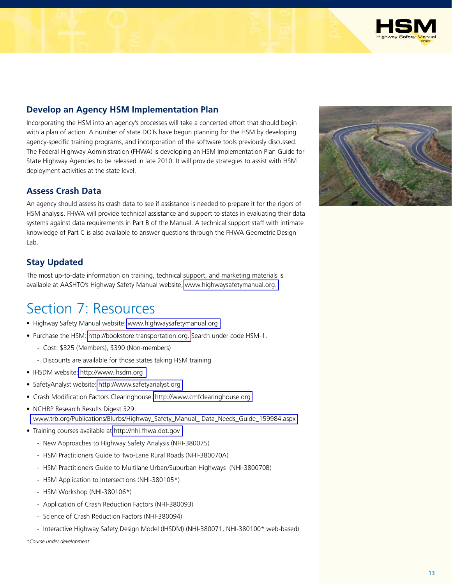

### <span id="page-14-0"></span>**Develop an Agency HSM Implementation Plan**

Incorporating the HSM into an agency's processes will take a concerted effort that should begin with a plan of action. A number of state DOTs have begun planning for the HSM by developing agency-specific training programs, and incorporation of the software tools previously discussed. The Federal Highway Administration (FHWA) is developing an HSM Implementation Plan Guide for State Highway Agencies to be released in late 2010. It will provide strategies to assist with HSM deployment activities at the state level.

#### **Assess Crash Data**

An agency should assess its crash data to see if assistance is needed to prepare it for the rigors of HSM analysis. FHWA will provide technical assistance and support to states in evaluating their data systems against data requirements in Part B of the Manual. A technical support staff with intimate knowledge of Part C is also available to answer questions through the FHWA Geometric Design Lah.

### **Stay Updated**

The most up-to-date information on training, technical support, and marketing materials is available at AASHTO's Highway Safety Manual website, [www.highwaysafetymanual.org.](http://www.highwaysafetymanual.org) 

# Section 7: Resources

- Highway Safety Manual website: [www.highwaysafetymanual.org](http://www.highwaysafetymanual.org)
- Purchase the HSM: [http://bookstore.transportation.org.](https://bookstore.transportation.org/search.aspx?Text=hsm-) Search under code HSM-1.
	- Cost: \$325 (Members), \$390 (Non-members)
	- Discounts are available for those states taking HSM training
- IHSDM website:<http://www.ihsdm.org>
- SafetyAnalyst website:<http://www.safetyanalyst.org>
- Crash Modification Factors Clearinghouse:<http://www.cmfclearinghouse.org>
- NCHRP Research Results Digest 329: [www.trb.org/Publications/Blurbs/Highway\\_Safety\\_Manual\\_ Data\\_Needs\\_Guide\\_159984.aspx](http://www.trb.org/Publications/Blurbs/Highway_Safety_Manual_Data_Needs_guide_159984.aspx)
- Training courses available at [http://nhi.fhwa.dot.gov](http://www.nhi.fhwa.dot.gov) 
	- New Approaches to Highway Safety Analysis (NHI-380075)
	- HSM Practitioners Guide to Two-Lane Rural Roads (NHI-380070A)
	- HSM Practitioners Guide to Multilane Urban/Suburban Highways (NHI-380070B)
	- HSM Application to Intersections (NHI-380105\*)
	- HSM Workshop (NHI-380106\*)
	- Application of Crash Reduction Factors (NHI-380093)
	- Science of Crash Reduction Factors (NHI-380094)
	- Interactive Highway Safety Design Model (IHSDM) (NHI-380071, NHI-380100\* web-based)

*\*Course under development*